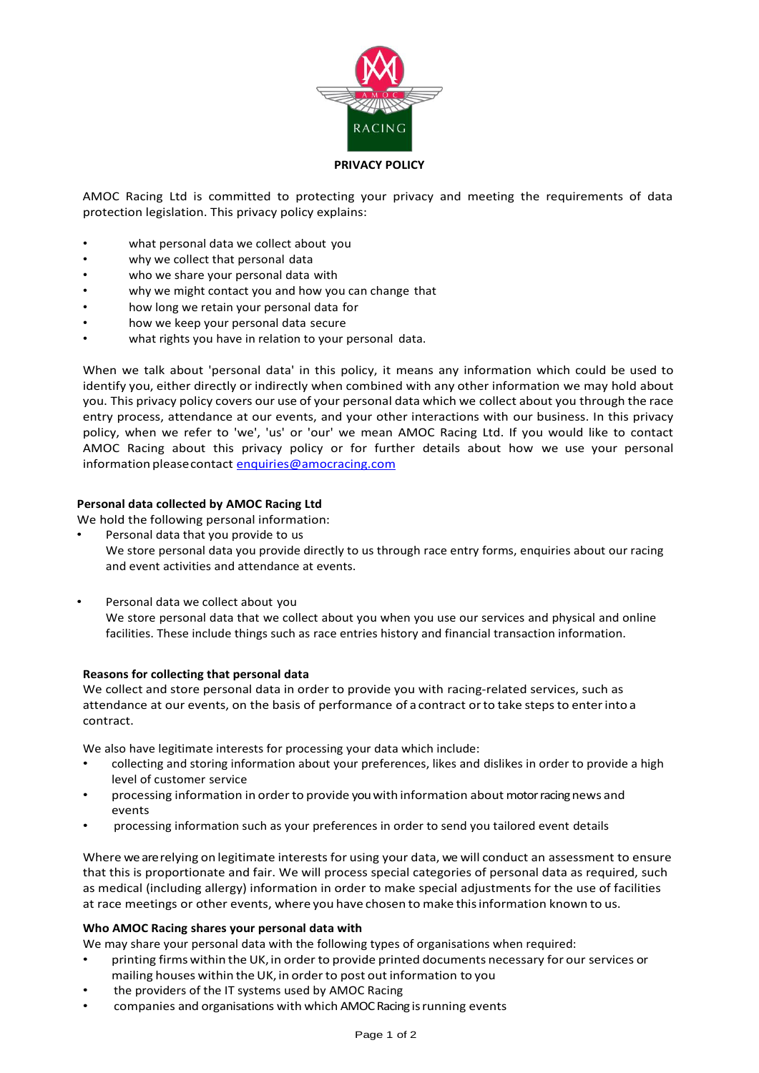

### **PRIVACY POLICY**

AMOC Racing Ltd is committed to protecting your privacy and meeting the requirements of data protection legislation. This privacy policy explains:

- what personal data we collect about you
- why we collect that personal data
- who we share your personal data with
- why we might contact you and how you can change that
- how long we retain your personal data for
- how we keep your personal data secure
- what rights you have in relation to your personal data.

When we talk about 'personal data' in this policy, it means any information which could be used to identify you, either directly or indirectly when combined with any other information we may hold about you. This privacy policy covers our use of your personal data which we collect about you through the race entry process, attendance at our events, and your other interactions with our business. In this privacy policy, when we refer to 'we', 'us' or 'our' we mean AMOC Racing Ltd. If you would like to contact AMOC Racing about this privacy policy or for further details about how we use your personal information please contact [enquiries@amocracing.com](mailto:enquiries@amocracing.com)

# **Personal data collected by AMOC Racing Ltd**

We hold the following personal information:

Personal data that you provide to us

We store personal data you provide directly to us through race entry forms, enquiries about our racing and event activities and attendance at events.

• Personal data we collect about you

We store personal data that we collect about you when you use our services and physical and online facilities. These include things such as race entries history and financial transaction information.

# **Reasons for collecting that personal data**

We collect and store personal data in order to provide you with racing-related services, such as attendance at our events, on the basis of performance of acontract orto take stepsto enterinto a contract.

We also have legitimate interests for processing your data which include:

- collecting and storing information about your preferences, likes and dislikes in order to provide a high level of customer service
- processing information in order to provide you with information about motor racing news and events
- processing information such as your preferences in order to send you tailored event details

Where we arerelying on legitimate interests for using your data, we will conduct an assessment to ensure that this is proportionate and fair. We will process special categories of personal data as required, such as medical (including allergy) information in order to make special adjustments for the use of facilities at race meetings or other events, where you have chosen to make thisinformation known to us.

# **Who AMOC Racing shares your personal data with**

We may share your personal data with the following types of organisations when required:

- printing firms within the UK, in order to provide printed documents necessary for our services or mailing houses within the UK, in order to post out information to you
- the providers of the IT systems used by AMOC Racing
- companies and organisations with which AMOC Racing is running events